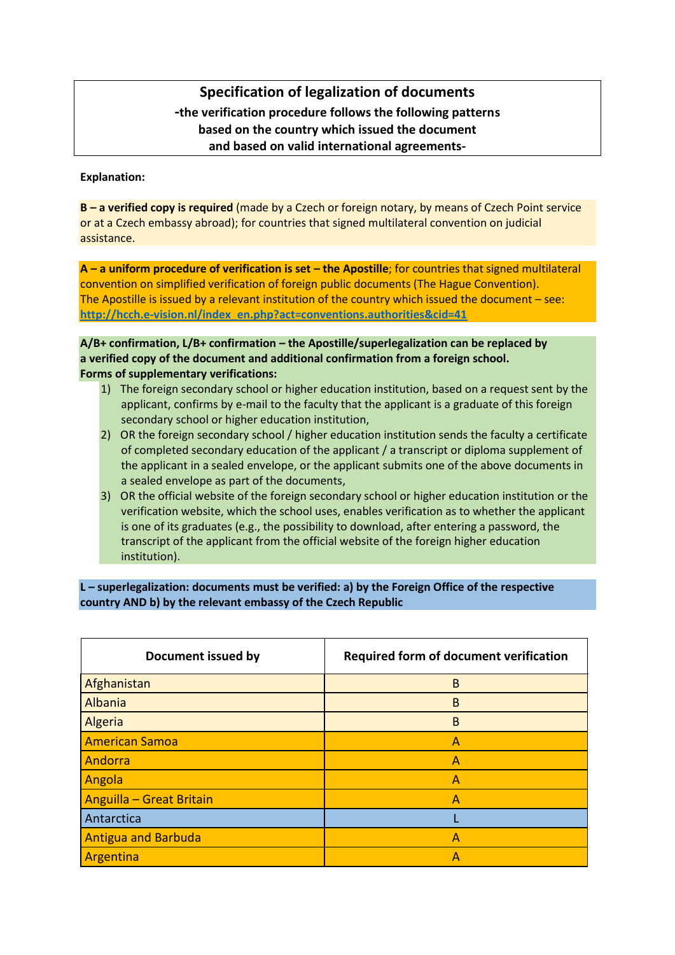## **Specification of legalization of documents -the verification procedure follows the following patterns based on the country which issued the document and based on valid international agreements-**

## **Explanation:**

**B – a verified copy is required** (made by a Czech or foreign notary, by means of Czech Point service or at a Czech embassy abroad); for countries that signed multilateral convention on judicial assistance.

**A – a uniform procedure of verification is set – the Apostille**; for countries that signed multilateral convention on simplified verification of foreign public documents (The Hague Convention). The Apostille is issued by a relevant institution of the country which issued the document – see: **[http://hcch.e-vision.nl/index\\_en.php?act=conventions.authorities&cid=41](http://hcch.e-vision.nl/index_en.php?act=conventions.authorities&cid=41)**

**A/B+ confirmation, L/B+ confirmation – the Apostille/superlegalization can be replaced by a verified copy of the document and additional confirmation from a foreign school. Forms of supplementary verifications:**

- 1) The foreign secondary school or higher education institution, based on a request sent by the applicant, confirms by e-mail to the faculty that the applicant is a graduate of this foreign secondary school or higher education institution,
- 2) OR the foreign secondary school / higher education institution sends the faculty a certificate of completed secondary education of the applicant / a transcript or diploma supplement of the applicant in a sealed envelope, or the applicant submits one of the above documents in a sealed envelope as part of the documents,
- 3) OR the official website of the foreign secondary school or higher education institution or the verification website, which the school uses, enables verification as to whether the applicant is one of its graduates (e.g., the possibility to download, after entering a password, the transcript of the applicant from the official website of the foreign higher education institution).

**L – superlegalization: documents must be verified: a) by the Foreign Office of the respective country AND b) by the relevant embassy of the Czech Republic**

| Document issued by         | Required form of document verification |
|----------------------------|----------------------------------------|
| Afghanistan                | B                                      |
| Albania                    | B                                      |
| Algeria                    | B                                      |
| <b>American Samoa</b>      | A                                      |
| Andorra                    | $\overline{A}$                         |
| Angola                     | $\overline{A}$                         |
| Anguilla - Great Britain   | Α                                      |
| Antarctica                 |                                        |
| <b>Antigua and Barbuda</b> | A                                      |
| Argentina                  | А                                      |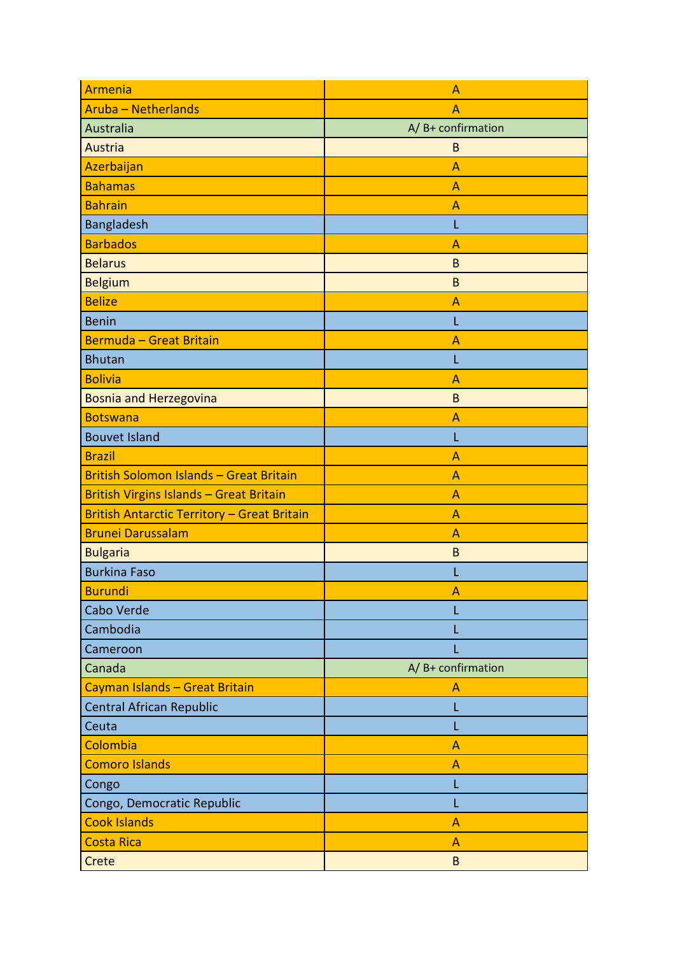| Armenia                                            | Α                     |
|----------------------------------------------------|-----------------------|
| <b>Aruba - Netherlands</b>                         | A                     |
| Australia                                          | $A / B+$ confirmation |
| Austria                                            | B                     |
| Azerbaijan                                         | A                     |
| <b>Bahamas</b>                                     | A                     |
| <b>Bahrain</b>                                     | $\overline{A}$        |
| Bangladesh                                         | L                     |
| <b>Barbados</b>                                    | A                     |
| <b>Belarus</b>                                     | B                     |
| <b>Belgium</b>                                     | B                     |
| <b>Belize</b>                                      | A                     |
| <b>Benin</b>                                       | L                     |
| <b>Bermuda - Great Britain</b>                     | A                     |
| <b>Bhutan</b>                                      | L                     |
| <b>Bolivia</b>                                     | A                     |
| <b>Bosnia and Herzegovina</b>                      | B                     |
| <b>Botswana</b>                                    | $\overline{A}$        |
| <b>Bouvet Island</b>                               | L                     |
| <b>Brazil</b>                                      | A                     |
| <b>British Solomon Islands - Great Britain</b>     | A                     |
| <b>British Virgins Islands - Great Britain</b>     | A                     |
| <b>British Antarctic Territory - Great Britain</b> | $\overline{A}$        |
| <b>Brunei Darussalam</b>                           | A                     |
| <b>Bulgaria</b>                                    | B                     |
| <b>Burkina Faso</b>                                |                       |
| <b>Burundi</b>                                     | Α                     |
| Cabo Verde                                         |                       |
| Cambodia                                           |                       |
| Cameroon                                           |                       |
| Canada                                             | A/B+ confirmation     |
| Cayman Islands - Great Britain                     | A                     |
| <b>Central African Republic</b>                    | L                     |
| Ceuta                                              | L                     |
| Colombia                                           | $\overline{A}$        |
| <b>Comoro Islands</b>                              | A                     |
| Congo                                              |                       |
| Congo, Democratic Republic                         |                       |
| <b>Cook Islands</b>                                | $\overline{A}$        |
| <b>Costa Rica</b>                                  | A                     |
| Crete                                              | B                     |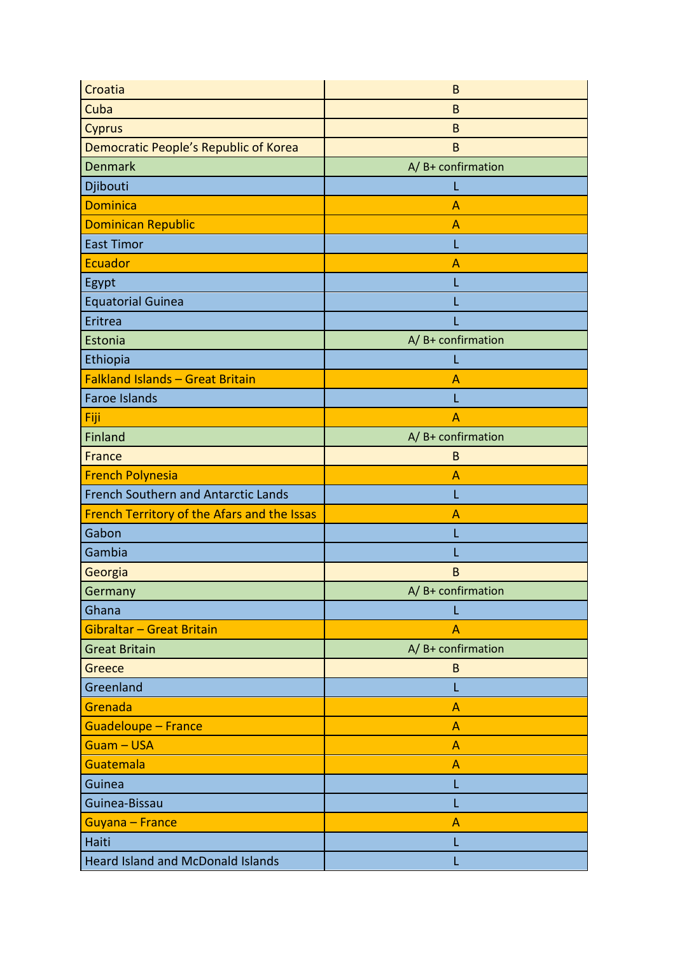| Croatia                                     | B                     |
|---------------------------------------------|-----------------------|
| Cuba                                        | B                     |
| <b>Cyprus</b>                               | B                     |
| Democratic People's Republic of Korea       | B                     |
| <b>Denmark</b>                              | A/B+ confirmation     |
| Djibouti                                    | L                     |
| <b>Dominica</b>                             | A                     |
| <b>Dominican Republic</b>                   | А                     |
| <b>East Timor</b>                           | L                     |
| <b>Ecuador</b>                              | A                     |
| Egypt                                       | L                     |
| <b>Equatorial Guinea</b>                    |                       |
| Eritrea                                     |                       |
| Estonia                                     | $A / B+$ confirmation |
| Ethiopia                                    | L                     |
| <b>Falkland Islands - Great Britain</b>     | A                     |
| <b>Faroe Islands</b>                        | L                     |
| Fiji                                        | A                     |
| Finland                                     | $A / B+$ confirmation |
| France                                      | B                     |
| <b>French Polynesia</b>                     | A                     |
| French Southern and Antarctic Lands         | L                     |
| French Territory of the Afars and the Issas | A                     |
| Gabon                                       | L                     |
| Gambia                                      |                       |
| Georgia                                     | $\sf{B}$              |
| Germany                                     | A/B+ confirmation     |
| Ghana                                       | L                     |
| Gibraltar - Great Britain                   | $\overline{A}$        |
| <b>Great Britain</b>                        | $A/B+$ confirmation   |
| Greece                                      | B                     |
| Greenland                                   | L                     |
| Grenada                                     | А                     |
| <b>Guadeloupe - France</b>                  | A                     |
| <b>Guam-USA</b>                             | A                     |
| Guatemala                                   | A                     |
| Guinea                                      | L                     |
| Guinea-Bissau                               |                       |
| Guyana - France                             |                       |
|                                             | A                     |
| Haiti                                       | L                     |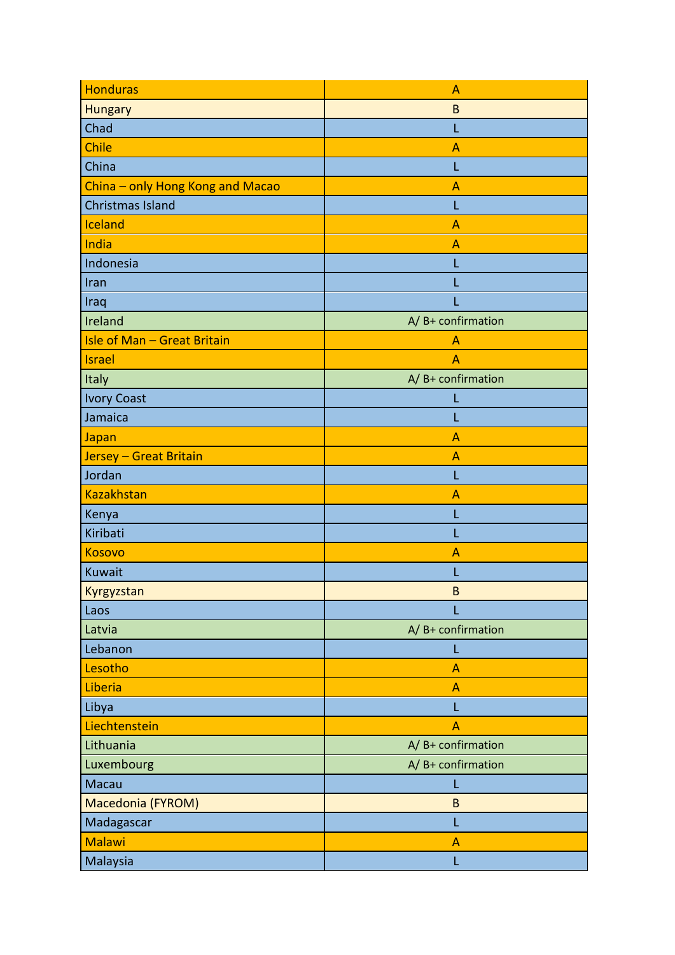| <b>Honduras</b>                    | A                      |
|------------------------------------|------------------------|
| <b>Hungary</b>                     | $\sf{B}$               |
| Chad                               | L                      |
| Chile                              | A                      |
| China                              | L                      |
| China - only Hong Kong and Macao   | Α                      |
| <b>Christmas Island</b>            | L                      |
| Iceland                            | A                      |
| India                              | A                      |
| Indonesia                          | L                      |
| Iran                               |                        |
| Iraq                               |                        |
| Ireland                            | $A / B+$ confirmation  |
| <b>Isle of Man - Great Britain</b> | A                      |
| <b>Israel</b>                      | A                      |
| Italy                              | $A / B +$ confirmation |
| <b>Ivory Coast</b>                 | L                      |
| Jamaica                            |                        |
| Japan                              | $\overline{A}$         |
| Jersey - Great Britain             | A                      |
| Jordan                             | L                      |
| <b>Kazakhstan</b>                  | A                      |
| Kenya                              | L                      |
| Kiribati                           |                        |
| <b>Kosovo</b>                      | Α                      |
| Kuwait                             |                        |
| Kyrgyzstan                         | B                      |
| Laos                               | L                      |
| Latvia                             | A/B+ confirmation      |
| Lebanon                            | L                      |
| Lesotho                            | $\overline{A}$         |
| Liberia                            | A                      |
| Libya                              | L                      |
| Liechtenstein                      | A                      |
| Lithuania                          | A/B+ confirmation      |
| Luxembourg                         | $A / B+$ confirmation  |
| Macau                              | L                      |
| Macedonia (FYROM)                  | B                      |
| Madagascar                         | L                      |
| <b>Malawi</b>                      | $\overline{A}$         |
| Malaysia                           | L                      |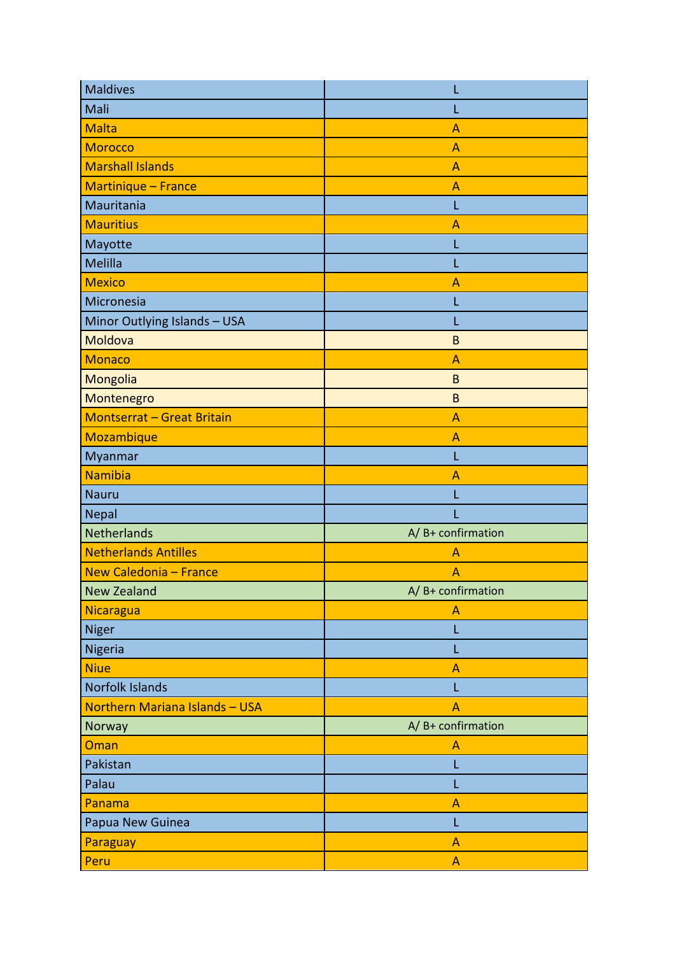| <b>Maldives</b>                   | L                     |
|-----------------------------------|-----------------------|
| Mali                              | L                     |
| <b>Malta</b>                      | A                     |
| <b>Morocco</b>                    | A                     |
| <b>Marshall Islands</b>           | A                     |
| Martinique - France               | A                     |
| Mauritania                        | L                     |
| <b>Mauritius</b>                  | A                     |
| Mayotte                           | L                     |
| Melilla                           | L                     |
| <b>Mexico</b>                     | A                     |
| Micronesia                        | L                     |
| Minor Outlying Islands - USA      |                       |
| Moldova                           | B                     |
| <b>Monaco</b>                     | A                     |
| Mongolia                          | B                     |
| Montenegro                        | B                     |
| <b>Montserrat - Great Britain</b> | A                     |
| Mozambique                        | A                     |
| Myanmar                           | L                     |
| <b>Namibia</b>                    | A                     |
| <b>Nauru</b>                      | L                     |
| Nepal                             | L                     |
| Netherlands                       | $A / B+$ confirmation |
| <b>Netherlands Antilles</b>       | A                     |
| New Caledonia - France            | A                     |
| <b>New Zealand</b>                | A/B+ confirmation     |
| Nicaragua                         | A                     |
| Niger                             | L                     |
| Nigeria                           | L                     |
| <b>Niue</b>                       | A                     |
| <b>Norfolk Islands</b>            | L                     |
| Northern Mariana Islands - USA    | A                     |
| Norway                            | A/B+ confirmation     |
| Oman                              | A                     |
| Pakistan                          | L                     |
| Palau                             | L                     |
| Panama                            | A                     |
| Papua New Guinea                  | L                     |
| Paraguay                          | A                     |
| Peru                              | A                     |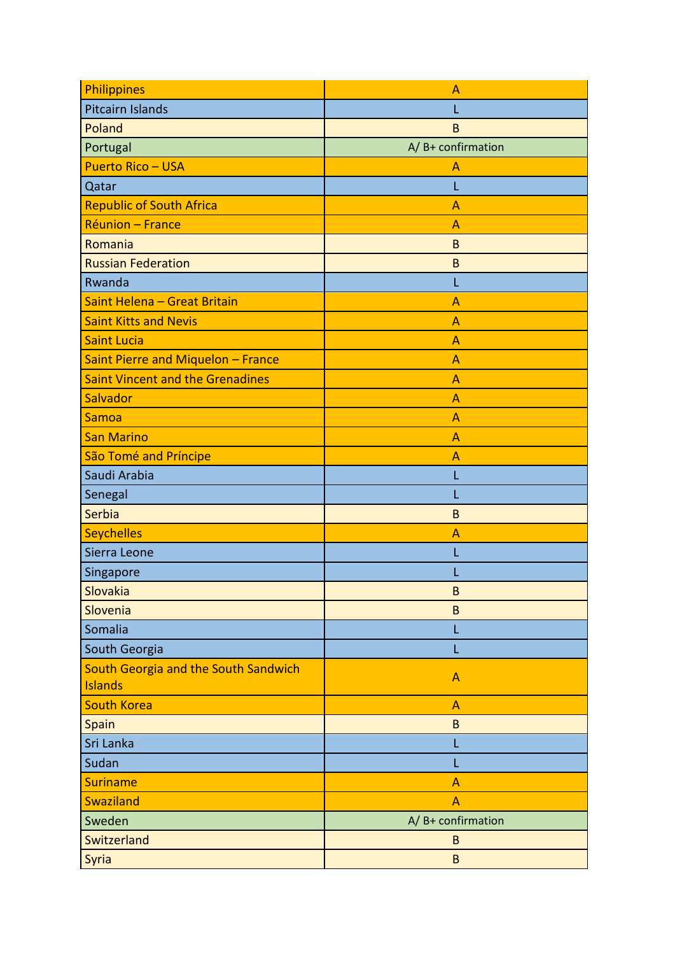| Philippines                             | Α                               |
|-----------------------------------------|---------------------------------|
| Pitcairn Islands                        |                                 |
| Poland                                  | B                               |
| Portugal                                | A/B+ confirmation               |
| <b>Puerto Rico - USA</b>                | Α                               |
| Qatar                                   |                                 |
| <b>Republic of South Africa</b>         | A                               |
| Réunion - France                        | Α                               |
| Romania                                 | $\mathsf B$                     |
| <b>Russian Federation</b>               | B                               |
| Rwanda                                  | L                               |
| Saint Helena - Great Britain            | Α                               |
| <b>Saint Kitts and Nevis</b>            | A                               |
| <b>Saint Lucia</b>                      | A                               |
| Saint Pierre and Miquelon - France      | A                               |
| <b>Saint Vincent and the Grenadines</b> | $\overline{A}$                  |
| Salvador                                | $\overline{A}$                  |
| Samoa                                   | A                               |
| <b>San Marino</b>                       | A                               |
| São Tomé and Príncipe                   | A                               |
| Saudi Arabia                            | L                               |
| Senegal                                 |                                 |
| Serbia                                  | B                               |
| <b>Seychelles</b>                       | Α                               |
| Sierra Leone                            |                                 |
| Singapore                               |                                 |
| Slovakia                                | в                               |
| Slovenia                                | $\sf{B}$                        |
| Somalia                                 | L                               |
| South Georgia                           | L                               |
| South Georgia and the South Sandwich    | $\mathsf{A}$                    |
| Islands                                 |                                 |
| <b>South Korea</b>                      | $\overline{A}$                  |
| Spain                                   | $\sf{B}$                        |
| Sri Lanka                               | L                               |
| Sudan                                   |                                 |
| <b>Suriname</b>                         | A                               |
| Swaziland                               | A                               |
| Sweden                                  | $A/\overline{B}$ + confirmation |
| Switzerland                             | B                               |
| Syria                                   | $\sf{B}$                        |